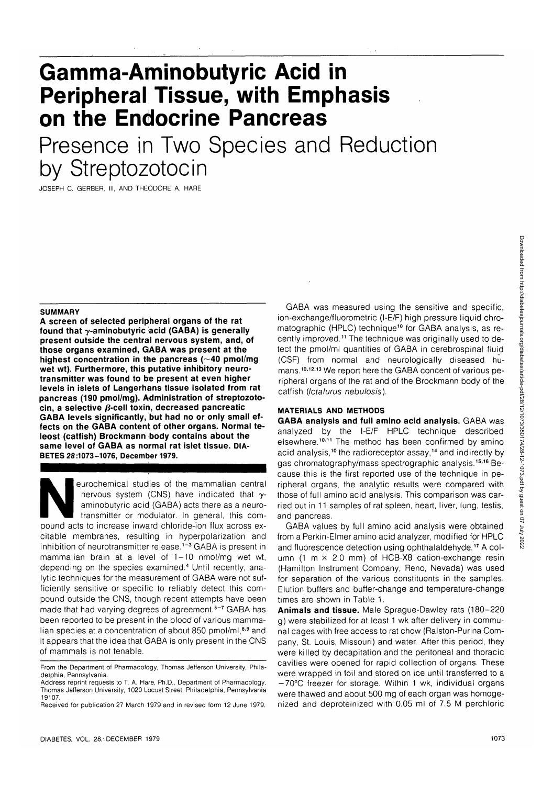Downloaded from http://diabetesjournals.org/diabetes/article-pdf/28/12/1073/350174/28-12-1073.pdf by guest on 07 July 202: Downloaded from http://diabetesjournals.org/diabetes/article-pdf/28/12/1073/350174/28-12-1073.pdf by guest on 07 July 2022

# **Gamma-Aminobutyric Acid in Peripheral Tissue, with Emphasis on the Endocrine Pancreas**

Presence in Two Species and Reduction by Streptozotocin

JOSEPH C. GERBER, III, AND THEODORE A. HARE

### **SUMMARY**

**A screen of selected peripheral organs of the rat found that y-aminobutyric acid (GABA) is generally present outside the central nervous system, and, of those organs examined, GABA was present at the highest concentration in the pancreas (—40 pmol/mg wet wt). Furthermore, this putative inhibitory neurotransmitter was found to be present at even higher levels in islets of Langerhans tissue isolated from rat pancreas (190 pmol/mg). Administration of streptozotocin, a selective /3-cell toxin, decreased pancreatic GABA levels significantly, but had no or only small effects on the GABA content of other organs. Normal teleost (catfish) Brockmann body contains about the same level of GABA as normal rat islet tissue. DIA-BETES 28:1073-1076, December 1979.**

eurochemical studies of the mammalian central<br>nervous system (CNS) have indicated that y-<br>aminobutyric acid (GABA) acts there as a neuro-<br>transmitter or modulator. In general, this com-<br>pound acts to increase inward chlori nervous system (CNS) have indicated that  $\gamma$ aminobutyric acid (GABA) acts there as a neurotransmitter or modulator. In general, this comcitable membranes, resulting in hyperpolarization and inhibition of neurotransmitter release.<sup>1-3</sup> GABA is present in mammalian brain at a level of 1-10 nmol/mg wet wt, depending on the species examined.<sup>4</sup> Until recently, analytic techniques for the measurement of GABA were not sufficiently sensitive or specific to reliably detect this compound outside the CNS, though recent attempts have been .<br>made that had varving degrees of agreement.<sup>5-7</sup> GABA has been reported to be present in the blood of various mammalian species at a concentration of about 850 pmol/ml 8,9 and it appears that the idea that GABA is only present in the CNS of mammals is not tenable.

GABA was measured using the sensitive and specific, ion-exchange/fluorometric (I-E/F) high pressure liquid chromatographic (HPLC) technique<sup>10</sup> for GABA analysis, as recently improved.<sup>11</sup> The technique was originally used to detect the pmol/ml quantities of GABA in cerebrospinal fluid (CSF) from normal and neurologically diseased humans.<sup>10,12,13</sup> We report here the GABA concent of various peripheral organs of the rat and of the Brockmann body of the catfish (Ictalurus nebulosis).

## **MATERIALS AND METHODS**

**GABA analysis and full amino acid analysis.** GABA was analyzed by the I-E/F HPLC technique described elsewhere.<sup>10,11</sup> The method has been confirmed by amino acid analysis,<sup>10</sup> the radioreceptor assay,<sup>14</sup> and indirectly by gas chromatography/mass spectrographic analysis.<sup>15,16</sup> Because this is the first reported use of the technique in peripheral organs, the analytic results were compared with those of full amino acid analysis. This comparison was carried out in 11 samples of rat spleen, heart, liver, lung, testis, and pancreas.

GABA values by full amino acid analysis were obtained from a Perkin-Elmer amino acid analyzer, modified for HPLC and fluorescence detection using ophthalaldehyde.<sup>17</sup> A column (1 m  $\times$  2.0 mm) of HCB-X8 cation-exchange resin (Hamilton Instrument Company, Reno, Nevada) was used for separation of the various constituents in the samples. Elution buffers and buffer-change and temperature-change times are shown in Table 1.

**Animals and tissue.** Male Sprague-Dawley rats (180-220 g) were stabilized for at least 1 wk after delivery in communal cages with free access to rat chow (Ralston-Purina Company, St. Louis, Missouri) and water. After this period, they were killed by decapitation and the peritoneal and thoracic cavities were opened for rapid collection of organs. These were wrapped in foil and stored on ice until transferred to a -70°C freezer for storage. Within 1 wk, individual organs were thawed and about 500 mg of each organ was homogenized and deproteinized with 0.05 ml of 7.5 M perchloric

From the Department of Pharmacology, Thomas Jefferson University, Philadelphia, Pennsylvania.

Address reprint requests to T. A. Hare, Ph.D., Department of Pharmacology, Thomas Jefferson University, 1020 Locust Street, Philadelphia, Pennsylvania 19107.

Received for publication 27 March 1979 and in revised form 12 June 1979.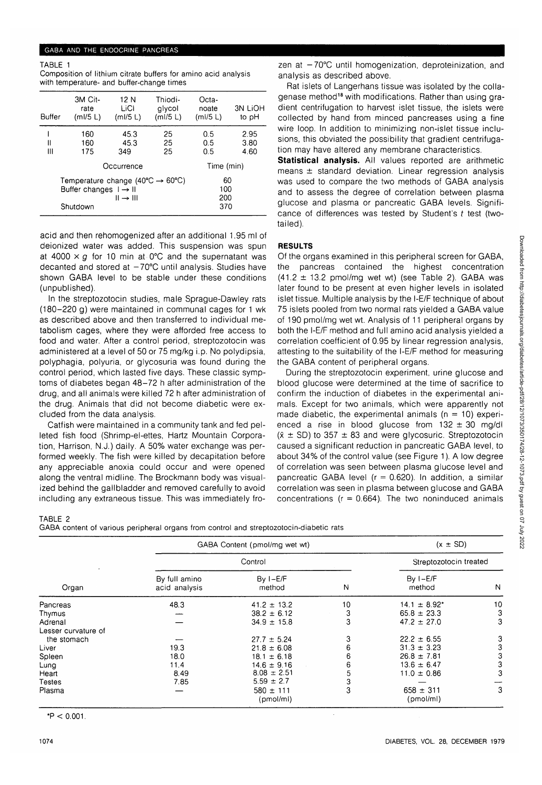## GABA AND THE ENDOCRINE PANCREAS

TABLE 1

| Composition of lithium citrate buffers for amino acid analysis |  |  |  |  |  |
|----------------------------------------------------------------|--|--|--|--|--|
| with temperature- and buffer-change times                      |  |  |  |  |  |

| Buffer | 3M Cit-<br>rate<br>(mI/5 L)                                                                                       | 12 N<br>LiCl<br>(mI/5 L)          | Thiodi-<br>alycol<br>(mI/5 L) | Octa-<br>noate<br>(mI/5 L)      | <b>3N LIOH</b><br>to pH |
|--------|-------------------------------------------------------------------------------------------------------------------|-----------------------------------|-------------------------------|---------------------------------|-------------------------|
| н<br>Ш | 160<br>160<br>175                                                                                                 | 45.3<br>45.3<br>349<br>Occurrence | 25<br>25<br>25                | 0.5<br>0.5<br>0.5<br>Time (min) | 2.95<br>3.80<br>4.60    |
|        | Temperature change (40 $\degree$ C $\rightarrow$ 60 $\degree$ C)<br>Buffer changes $I \rightarrow II$<br>Shutdown | 60<br>100<br>200<br>370           |                               |                                 |                         |

acid and then rehomogenized after an additional 1.95 ml of deionized water was added. This suspension was spun at 4000  $\times$  g for 10 min at 0°C and the supernatant was decanted and stored at  $-70^{\circ}$ C until analysis. Studies have shown GABA level to be stable under these conditions (unpublished).

In the streptozotocin studies, male Sprague-Dawley rats (180-220 g) were maintained in communal cages for 1 wk as described above and then transferred to individual metabolism cages, where they were afforded free access to food and water. After a control period, streptozotocin was administered at a level of 50 or 75 mg/kg i.p. No polydipsia, polyphagia, polyuria, or glycosuria was found during the control period, which lasted five days. These classic symptoms of diabetes began 48-72 h after administration of the drug, and all animals were killed 72 h after administration of the drug. Animals that did not become diabetic were excluded from the data analysis.

Catfish were maintained in a community tank and fed pelleted fish food (Shrimp-el-ettes, Hartz Mountain Corporation, Harrison, N.J.) daily. A 50% water exchange was performed weekly. The fish were killed by decapitation before any appreciable anoxia could occur and were opened along the ventral midline. The Brockmann body was visualized behind the gallbladder and removed carefully to avoid including any extraneous tissue. This was immediately fro-

zen at  $-70^{\circ}$ C until homogenization, deproteinization, and analysis as described above.

Rat islets of Langerhans tissue was isolated by the collagenase method<sup>18</sup> with modifications. Rather than using gradient centrifugation to harvest islet tissue, the islets were collected by hand from minced pancreases using a fine wire loop. In addition to minimizing non-islet tissue inclusions, this obviated the possibility that gradient centrifugation may have altered any membrane characteristics.

**Statistical analysis.** All values reported are arithmetic means ± standard deviation. Linear regression analysis was used to compare the two methods of GABA analysis and to assess the degree of correlation between plasma glucose and plasma or pancreatic GABA levels. Significance of differences was tested by Student's  $t$  test (twotailed).

# **RESULTS**

Of the organs examined in this peripheral screen for GABA, the pancreas contained the highest concentration  $(41.2 \pm 13.2 \text{ pmol/mg wet wt})$  (see Table 2). GABA was later found to be present at even higher levels in isolated islet tissue. Multiple analysis by the I-E/F technique of about 75 islets pooled from two normal rats yielded a GABA value of 190 pmol/mg wet wt. Analysis of 11 peripheral organs by both the I-E/F method and full amino acid analysis yielded a correlation coefficient of 0.95 by linear regression analysis, attesting to the suitability of the I-E/F method for measuring the GABA content of peripheral organs.

During the streptozotocin experiment, urine glucose and blood glucose were determined at the time of sacrifice to confirm the induction of diabetes in the experimental animals. Except for two animals, which were apparently not made diabetic, the experimental animals  $(n = 10)$  experienced a rise in blood glucose from  $132 \pm 30$  mg/dl  $(\bar{x} \pm SD)$  to 357  $\pm$  83 and were glycosuric. Streptozotocin caused a significant reduction in pancreatic GABA level, to about 34% of the control value (see Figure 1). A low degree of correlation was seen between plasma glucose level and pancreatic GABA level ( $r = 0.620$ ). In addition, a similar correlation was seen in plasma between glucose and GABA concentrations ( $r = 0.664$ ). The two noninduced animals

## TABLE 2

GABA content of various peripheral organs from control and streptozotocin-diabetic rats

|                     | GABA Content (pmol/mg wet wt)  | $(x \pm SD)$<br>Streptozotocin treated |    |                      |    |
|---------------------|--------------------------------|----------------------------------------|----|----------------------|----|
|                     |                                |                                        |    |                      |    |
| Organ               | By full amino<br>acid analysis | $By I-E/F$<br>method                   | N  | $By I-E/F$<br>method | N  |
| Pancreas            | 48.3                           | $41.2 \pm 13.2$                        | 10 | $14.1 \pm 8.92^*$    | 10 |
| Thymus              |                                | $38.2 \pm 6.12$                        | 3  | $65.8 \pm 23.3$      | 3  |
| Adrenal             |                                | $34.9 \pm 15.8$                        | 3  | $47.2 \pm 27.0$      | 3  |
| Lesser curvature of |                                |                                        |    |                      |    |
| the stomach         |                                | $27.7 \pm 5.24$                        | 3  | $22.2 \pm 6.55$      |    |
| Liver               | 19.3                           | $21.8 \pm 6.08$                        | 6  | $31.3 \pm 3.23$      |    |
| Spleen              | 18.0                           | $18.1 \pm 6.18$                        | 6  | $26.8 \pm 7.81$      |    |
| Lung                | 11.4                           | $14.6 \pm 9.16$                        | 6  | $13.6 \pm 6.47$      | З  |
| Heart               | 8.49                           | $8.08 = 2.51$                          | 5  | $11.0 \pm 0.86$      |    |
| Testes              | 7.85                           | $5.59 \pm 2.7$                         | 3  |                      |    |
| Plasma              |                                | $580 \pm 111$                          | 3  | $658 \pm 311$        | 3  |
|                     |                                | (pmol/ml)                              |    | (pmol/ml)            |    |

 $*P < 0.001$ .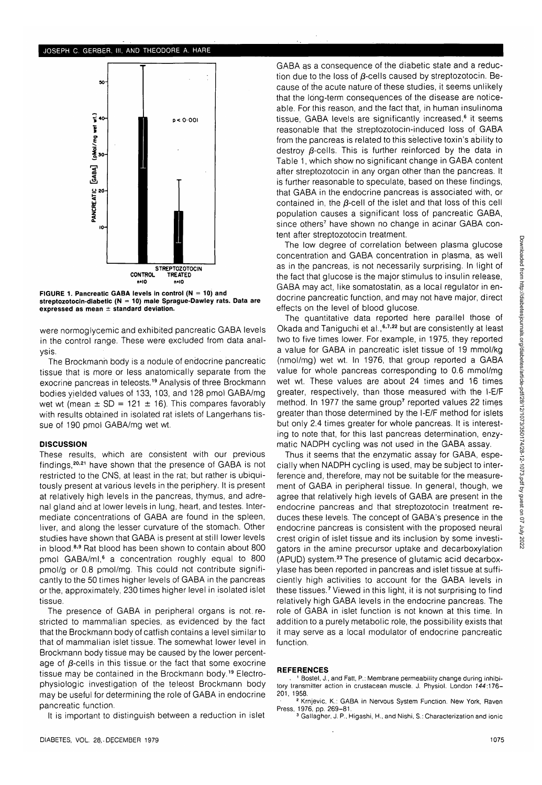### JOSEPH C. GERBER, III, AND THEODORE A. HARE



**FIGURE 1. Pancreatic GABA levels in control (N = 10) and streptozotocin-diabetic (N = 10) male Sprague-Dawley rats. Data are expressed as mean ± standard deviation.**

were normoglycemic and exhibited pancreatic GABA levels in the control range. These were excluded from data analysis.

The Brockmann body is a nodule of endocrine pancreatic tissue that is more or less anatomically separate from the exocrine pancreas in teleosts.<sup>19</sup> Analysis of three Brockmann bodies yielded values of 133, 103, and 128 pmol GABA/mg wet wt (mean  $\pm$  SD = 121  $\pm$  16). This compares favorably with results obtained in isolated rat islets of Langerhans tissue of 190 pmol GABA/mg wet wt.

## **DISCUSSION**

These results, which are consistent with our previous findings,<sup>20,21</sup> have shown that the presence of GABA is not restricted to the CNS, at least in the rat; but rather is ubiquitously present at various levels in the periphery. It is present at relatively high levels in the pancreas, thymus, and adrenal gland and at lower levels in lung, heart, and testes. Intermediate concentrations of GABA are found in the spleen, liver, and along the lesser curvature of the stomach. Other studies have shown that GABA is present at still lower levels in blood.<sup>8,9</sup> Rat blood has been shown to contain about 800 omol GABA/ml,<sup>6</sup> a concentration roughly equal to 800 pmol/g or 0.8 pmol/mg. This could not contribute significantly to the 50 times higher levels of GABA in the pancreas or the, approximately, 230 times higher level in isolated islet tissue.

The presence of GABA in peripheral organs is not. restricted to mammalian species, as evidenced by the fact that the Brockmann body of catfish contains a level similar to that of mammalian islet tissue. The somewhat lower level in Brockmann body tissue may be caused by the lower percentage of  $\beta$ -cells in this tissue or the fact that some exocrine tissue may be contained in the Brockmann body.<sup>19</sup> Electrophysiologic investigation of the teleost Brockmann body may be useful for determining the role of GABA in endocrine pancreatic function.

It is important to distinguish between a reduction in islet

GABA as a consequence of the diabetic state and a reduction due to the loss of  $\beta$ -cells caused by streptozotocin. Because of the acute nature of these studies, it seems unlikely that the long-term consequences of the disease are noticeable. For this reason, and the fact that, in human insulinoma tissue, GABA levels are significantly increased,<sup>6</sup> it seems reasonable that the streptozotocin-induced loss of GABA from the pancreas is related to this selective toxin's ability to destroy  $\beta$ -cells. This is further reinforced by the data in Table 1, which show no significant change in GABA content after streptozotocin in any organ other than the pancreas. It is further reasonable to speculate, based on these findings, that GABA in the endocrine pancreas is associated with, or contained in, the  $\beta$ -cell of the islet and that loss of this cell population causes a significant loss of pancreatic GABA, since others7 have shown no change in acinar GABA content after streptozotocin treatment.

The low degree of correlation between plasma glucose concentration and GABA concentration in plasma, as well as in the pancreas, is not necessarily surprising. In light of the fact that glucose is the major stimulus to insulin release, GABA may act, like somatostatin, as a local regulator in endocrine pancreatic function, and may not have major, direct effects on the level of blood glucose.

The quantitative data reported here parallel those of Okada and Taniguchi et al., 6,7,22 but are consistently at least two to five times lower. For example, in 1975, they reported a value for GABA in pancreatic islet tissue of 19 mmol/kg (nmol/mg) wet wt. In 1976, that group reported a GABA value for whole pancreas corresponding to 0.6 mmol/mg wet wt. These values are about 24 times and 16 times greater, respectively, than those measured with the I-E/F method. In 1977 the same group<sup>7</sup> reported values 22 times greater than those determined by the I-E/F method for islets but only 2.4 times greater for whole pancreas. It is interesting to note that, for this last pancreas determination, enzymatic NADPH cycling was not used in the GABA assay.

Thus it seems that the enzymatic assay for GABA, especially when NADPH cycling is used, may be subject to interference and, therefore, may not be suitable for the measurement of GABA in peripheral tissue. In general, though, we agree that relatively high levels of GABA are present in the endocrine pancreas and that streptozotocin treatment reduces these levels. The concept of GABA's presence in the endocrine pancreas is consistent with the proposed neural crest origin of islet tissue and its inclusion by some investigators in the amine precursor uptake and decarboxylation (APUD) system.23 The presence of glutamic acid decarboxylase has been reported in pancreas and islet tissue at sufficiently high activities to account for the GABA levels in these tissues.<sup>7</sup> Viewed in this light, it is not surprising to find relatively high GABA levels in the endocrine pancreas. The role of GABA in islet function is not known at this time. In addition to a purely metabolic role, the possibility exists that it may serve as a local modulator of endocrine pancreatic function.

#### **REFERENCES**

- 1 Bostel, J., and Fatt, P.: Membrane permeability change during inhibitory transmitter action in crustacean muscle. J. Physiol. London 744:176- 201, 1958.

<sup>2</sup> Krnjevic, K.: GABA in Nervous System Function. New York, Raven Press, 1976, pp. 269-81.

Gallagher, J. P., Higashi, H., and Nishi, S.: Characterization and ionic